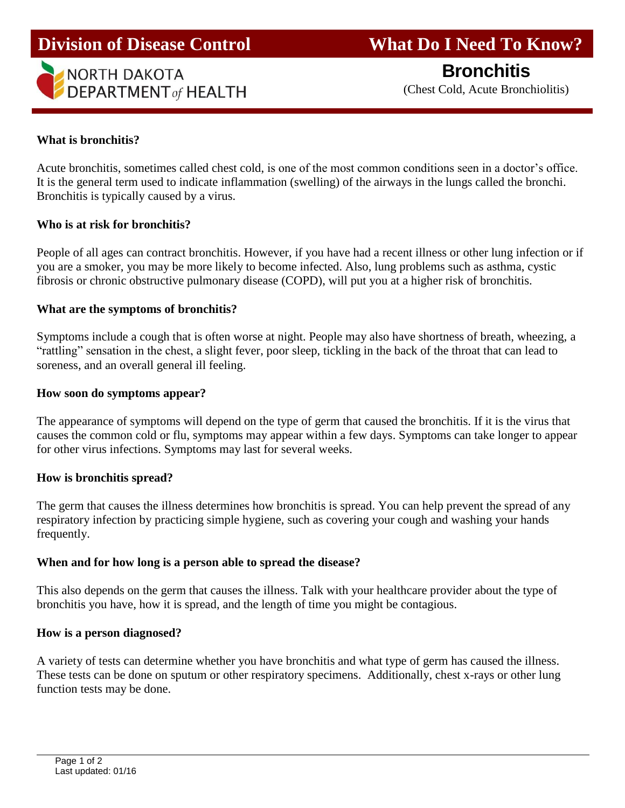

**Division of Disease Control What Do I Need To Know?** 

**Bronchitis**

# **What is bronchitis?**

Acute bronchitis, sometimes called chest cold, is one of the most common conditions seen in a doctor's office. It is the general term used to indicate inflammation (swelling) of the airways in the lungs called the bronchi. Bronchitis is typically caused by a virus.

## **Who is at risk for bronchitis?**

People of all ages can contract bronchitis. However, if you have had a recent illness or other lung infection or if you are a smoker, you may be more likely to become infected. Also, lung problems such as asthma, cystic fibrosis or chronic obstructive pulmonary disease (COPD), will put you at a higher risk of bronchitis.

## **What are the symptoms of bronchitis?**

Symptoms include a cough that is often worse at night. People may also have shortness of breath, wheezing, a "rattling" sensation in the chest, a slight fever, poor sleep, tickling in the back of the throat that can lead to soreness, and an overall general ill feeling.

### **How soon do symptoms appear?**

The appearance of symptoms will depend on the type of germ that caused the bronchitis. If it is the virus that causes the common cold or flu, symptoms may appear within a few days. Symptoms can take longer to appear for other virus infections. Symptoms may last for several weeks.

### **How is bronchitis spread?**

The germ that causes the illness determines how bronchitis is spread. You can help prevent the spread of any respiratory infection by practicing simple hygiene, such as covering your cough and washing your hands frequently.

### **When and for how long is a person able to spread the disease?**

This also depends on the germ that causes the illness. Talk with your healthcare provider about the type of bronchitis you have, how it is spread, and the length of time you might be contagious.

### **How is a person diagnosed?**

A variety of tests can determine whether you have bronchitis and what type of germ has caused the illness. These tests can be done on sputum or other respiratory specimens. Additionally, chest x-rays or other lung function tests may be done.